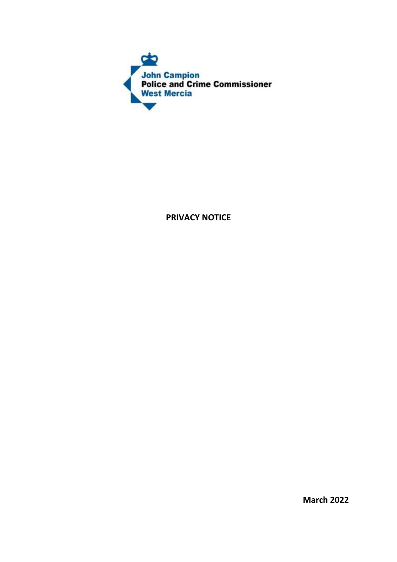

**PRIVACY NOTICE**

**March 2022**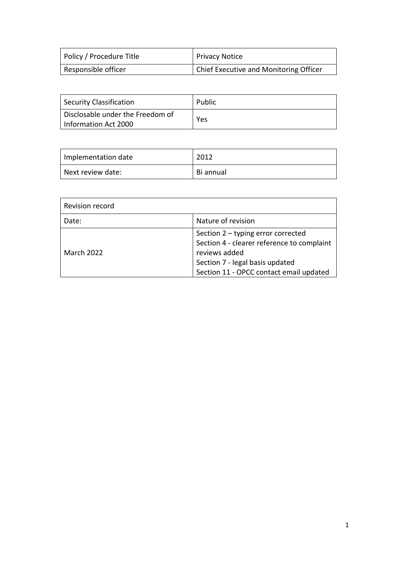| Policy / Procedure Title | <b>Privacy Notice</b>                  |
|--------------------------|----------------------------------------|
| Responsible officer      | Chief Executive and Monitoring Officer |

| Security Classification                                  | Public |
|----------------------------------------------------------|--------|
| Disclosable under the Freedom of<br>Information Act 2000 | Yes    |

| Implementation date | 2012      |
|---------------------|-----------|
| Next review date:   | Bi annual |

| Revision record |                                                                                                                                                                                 |
|-----------------|---------------------------------------------------------------------------------------------------------------------------------------------------------------------------------|
| Date:           | Nature of revision                                                                                                                                                              |
| March 2022      | Section 2 - typing error corrected<br>Section 4 - clearer reference to complaint<br>reviews added<br>Section 7 - legal basis updated<br>Section 11 - OPCC contact email updated |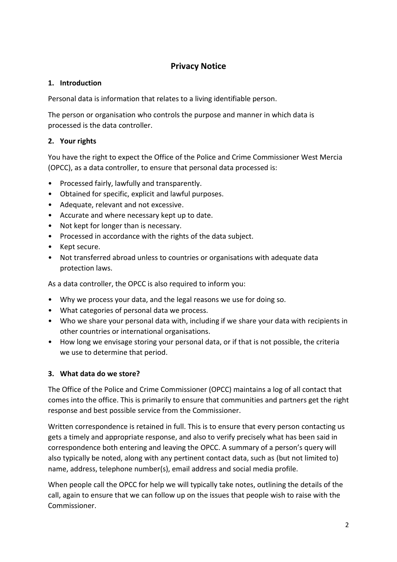# **Privacy Notice**

### **1. Introduction**

Personal data is information that relates to a living identifiable person.

The person or organisation who controls the purpose and manner in which data is processed is the data controller.

# **2. Your rights**

You have the right to expect the Office of the Police and Crime Commissioner West Mercia (OPCC), as a data controller, to ensure that personal data processed is:

- Processed fairly, lawfully and transparently.
- Obtained for specific, explicit and lawful purposes.
- Adequate, relevant and not excessive.
- Accurate and where necessary kept up to date.
- Not kept for longer than is necessary.
- Processed in accordance with the rights of the data subject.
- Kept secure.
- Not transferred abroad unless to countries or organisations with adequate data protection laws.

As a data controller, the OPCC is also required to inform you:

- Why we process your data, and the legal reasons we use for doing so.
- What categories of personal data we process.
- Who we share your personal data with, including if we share your data with recipients in other countries or international organisations.
- How long we envisage storing your personal data, or if that is not possible, the criteria we use to determine that period.

# **3. What data do we store?**

The Office of the Police and Crime Commissioner (OPCC) maintains a log of all contact that comes into the office. This is primarily to ensure that communities and partners get the right response and best possible service from the Commissioner.

Written correspondence is retained in full. This is to ensure that every person contacting us gets a timely and appropriate response, and also to verify precisely what has been said in correspondence both entering and leaving the OPCC. A summary of a person's query will also typically be noted, along with any pertinent contact data, such as (but not limited to) name, address, telephone number(s), email address and social media profile.

When people call the OPCC for help we will typically take notes, outlining the details of the call, again to ensure that we can follow up on the issues that people wish to raise with the Commissioner.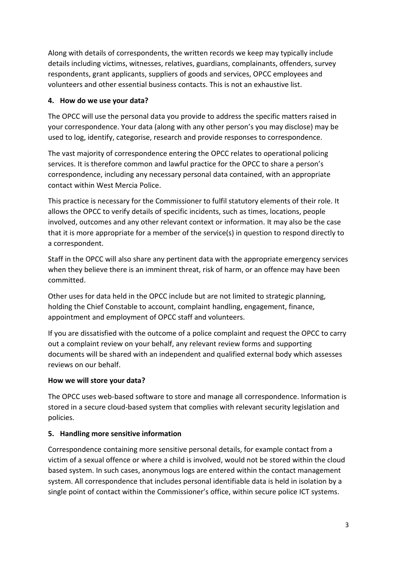Along with details of correspondents, the written records we keep may typically include details including victims, witnesses, relatives, guardians, complainants, offenders, survey respondents, grant applicants, suppliers of goods and services, OPCC employees and volunteers and other essential business contacts. This is not an exhaustive list.

### **4. How do we use your data?**

The OPCC will use the personal data you provide to address the specific matters raised in your correspondence. Your data (along with any other person's you may disclose) may be used to log, identify, categorise, research and provide responses to correspondence.

The vast majority of correspondence entering the OPCC relates to operational policing services. It is therefore common and lawful practice for the OPCC to share a person's correspondence, including any necessary personal data contained, with an appropriate contact within West Mercia Police.

This practice is necessary for the Commissioner to fulfil statutory elements of their role. It allows the OPCC to verify details of specific incidents, such as times, locations, people involved, outcomes and any other relevant context or information. It may also be the case that it is more appropriate for a member of the service(s) in question to respond directly to a correspondent.

Staff in the OPCC will also share any pertinent data with the appropriate emergency services when they believe there is an imminent threat, risk of harm, or an offence may have been committed.

Other uses for data held in the OPCC include but are not limited to strategic planning, holding the Chief Constable to account, complaint handling, engagement, finance, appointment and employment of OPCC staff and volunteers.

If you are dissatisfied with the outcome of a police complaint and request the OPCC to carry out a complaint review on your behalf, any relevant review forms and supporting documents will be shared with an independent and qualified external body which assesses reviews on our behalf.

# **How we will store your data?**

The OPCC uses web-based software to store and manage all correspondence. Information is stored in a secure cloud-based system that complies with relevant security legislation and policies.

# **5. Handling more sensitive information**

Correspondence containing more sensitive personal details, for example contact from a victim of a sexual offence or where a child is involved, would not be stored within the cloud based system. In such cases, anonymous logs are entered within the contact management system. All correspondence that includes personal identifiable data is held in isolation by a single point of contact within the Commissioner's office, within secure police ICT systems.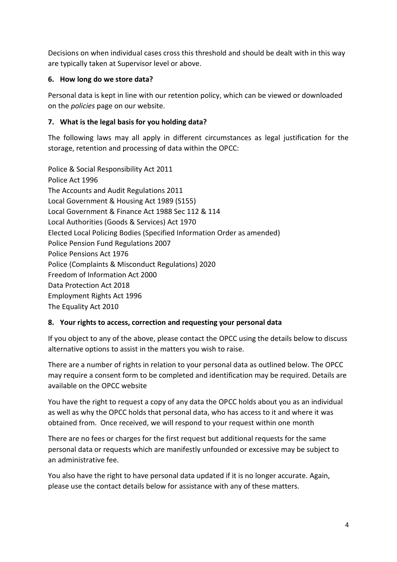Decisions on when individual cases cross this threshold and should be dealt with in this way are typically taken at Supervisor level or above.

### **6. How long do we store data?**

Personal data is kept in line with our retention policy, which can be viewed or downloaded on the *policies* page on our website.

# **7. What is the legal basis for you holding data?**

The following laws may all apply in different circumstances as legal justification for the storage, retention and processing of data within the OPCC:

Police & Social Responsibility Act 2011 Police Act 1996 The Accounts and Audit Regulations 2011 Local Government & Housing Act 1989 (S155) Local Government & Finance Act 1988 Sec 112 & 114 Local Authorities (Goods & Services) Act 1970 Elected Local Policing Bodies (Specified Information Order as amended) Police Pension Fund Regulations 2007 Police Pensions Act 1976 Police (Complaints & Misconduct Regulations) 2020 Freedom of Information Act 2000 Data Protection Act 2018 Employment Rights Act 1996 The Equality Act 2010

#### **8. Your rights to access, correction and requesting your personal data**

If you object to any of the above, please contact the OPCC using the details below to discuss alternative options to assist in the matters you wish to raise.

There are a number of rights in relation to your personal data as outlined below. The OPCC may require a consent form to be completed and identification may be required. Details are available on the OPCC website

You have the right to request a copy of any data the OPCC holds about you as an individual as well as why the OPCC holds that personal data, who has access to it and where it was obtained from. Once received, we will respond to your request within one month

There are no fees or charges for the first request but additional requests for the same personal data or requests which are manifestly unfounded or excessive may be subject to an administrative fee.

You also have the right to have personal data updated if it is no longer accurate. Again, please use the contact details below for assistance with any of these matters.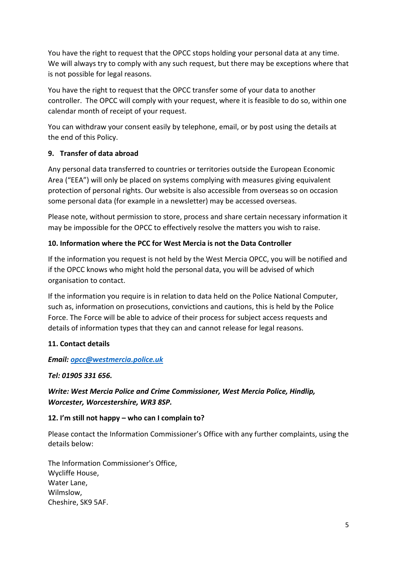You have the right to request that the OPCC stops holding your personal data at any time. We will always try to comply with any such request, but there may be exceptions where that is not possible for legal reasons.

You have the right to request that the OPCC transfer some of your data to another controller. The OPCC will comply with your request, where it is feasible to do so, within one calendar month of receipt of your request.

You can withdraw your consent easily by telephone, email, or by post using the details at the end of this Policy.

# **9. Transfer of data abroad**

Any personal data transferred to countries or territories outside the European Economic Area ("EEA") will only be placed on systems complying with measures giving equivalent protection of personal rights. Our website is also accessible from overseas so on occasion some personal data (for example in a newsletter) may be accessed overseas.

Please note, without permission to store, process and share certain necessary information it may be impossible for the OPCC to effectively resolve the matters you wish to raise.

### **10. Information where the PCC for West Mercia is not the Data Controller**

If the information you request is not held by the West Mercia OPCC, you will be notified and if the OPCC knows who might hold the personal data, you will be advised of which organisation to contact.

If the information you require is in relation to data held on the Police National Computer, such as, information on prosecutions, convictions and cautions, this is held by the Police Force. The Force will be able to advice of their process for subject access requests and details of information types that they can and cannot release for legal reasons.

# **11. Contact details**

#### *Email: [opcc@westmercia.police.uk](mailto:opcc@westmercia.police.uk)*

#### *Tel: 01905 331 656.*

# *Write: West Mercia Police and Crime Commissioner, West Mercia Police, Hindlip, Worcester, Worcestershire, WR3 8SP.*

#### **12. I'm still not happy – who can I complain to?**

Please contact the Information Commissioner's Office with any further complaints, using the details below:

The Information Commissioner's Office, Wycliffe House, Water Lane, Wilmslow, Cheshire, SK9 5AF.